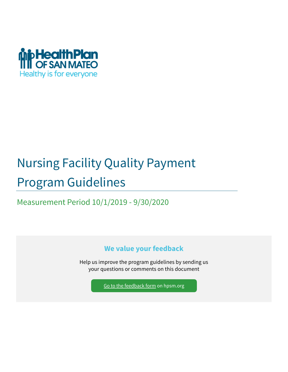

# Nursing Facility Quality Payment Program Guidelines

Measurement Period 10/1/2019 - 9/30/2020

**We value your feedback**

Help us improve the program guidelines by sending us your questions or comments on this document

[Go to the feedback form](https://www.hpsm.org/provider/p4p-quality-initative/program-guidelines-feedback) on hpsm.org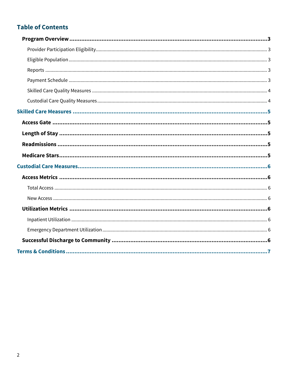### **Table of Contents**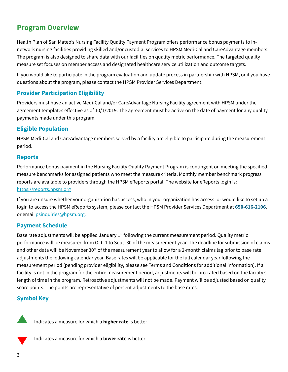### <span id="page-2-0"></span>**Program Overview**

Health Plan of San Mateo's Nursing Facility Quality Payment Program offers performance bonus payments to innetwork nursing facilities providing skilled and/or custodial services to HPSM Medi-Cal and CareAdvantage members. The program is also designed to share data with our facilities on quality metric performance. The targeted quality measure set focuses on member access and designated healthcare service utilization and outcome targets.

If you would like to participate in the program evaluation and update process in partnership with HPSM, or if you have questions about the program, please contact the HPSM Provider Services Department.

#### <span id="page-2-1"></span>**Provider Participation Eligibility**

Providers must have an active Medi-Cal and/or CareAdvantage Nursing Facility agreement with HPSM under the agreement templates effective as of 10/1/2019. The agreement must be active on the date of payment for any quality payments made under this program.

#### <span id="page-2-2"></span>**Eligible Population**

HPSM Medi-Cal and CareAdvantage members served by a facility are eligible to participate during the measurement period.

#### <span id="page-2-3"></span>**Reports**

Performance bonus payment in the Nursing Facility Quality Payment Program is contingent on meeting the specified measure benchmarks for assigned patients who meet the measure criteria. Monthly member benchmark progress reports are available to providers through the HPSM eReports portal. The website for eReports login is: [https://reports.hpsm.org](https://reports.hpsm.org/)

If you are unsure whether your organization has access, who in your organization has access, or would like to set up a login to access the HPSM eReports system, please contact the HPSM Provider Services Department at **650-616-2106**, or email [psinquiries@hpsm.org.](mailto:psinquiries@hpsm.org?subject=SNF%20Program%20Guidelines) 

#### <span id="page-2-4"></span>**Payment Schedule**

Base rate adjustments will be applied January  $1<sup>st</sup>$  following the current measurement period. Quality metric performance will be measured from Oct. 1 to Sept. 30 of the measurement year. The deadline for submission of claims and other data will be November 30<sup>th</sup> of the measurement year to allow for a 2-month claims lag prior to base rate adjustments the following calendar year. Base rates will be applicable for the full calendar year following the measurement period (pending provider eligibility, please see Terms and Conditions for additional information). If a facility is not in the program for the entire measurement period, adjustments will be pro-rated based on the facility's length of time in the program. Retroactive adjustments will not be made. Payment will be adjusted based on quality score points. The points are representative of percent adjustments to the base rates.

#### **Symbol Key**



Indicates a measure for which a **higher rate** is better



Indicates a measure for which a **lower rate** is better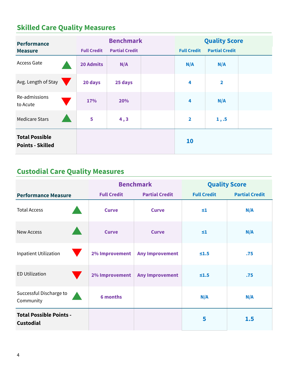# <span id="page-3-0"></span>**Skilled Care Quality Measures**

| <b>Performance</b><br><b>Measure</b>             | <b>Full Credit</b> | <b>Benchmark</b><br><b>Partial Credit</b> |  | <b>Quality Score</b><br><b>Partial Credit</b><br><b>Full Credit</b> |                         |  |
|--------------------------------------------------|--------------------|-------------------------------------------|--|---------------------------------------------------------------------|-------------------------|--|
| Access Gate                                      | <b>20 Admits</b>   | N/A                                       |  | N/A                                                                 | N/A                     |  |
| Avg. Length of Stay                              | 20 days            | 25 days                                   |  | 4                                                                   | $\overline{\mathbf{2}}$ |  |
| Re-admissions<br>to Acute                        | 17%                | 20%                                       |  | $\overline{\mathbf{4}}$                                             | N/A                     |  |
| <b>Medicare Stars</b>                            | 5                  | 4, 3                                      |  | $\overline{2}$                                                      | 1, .5                   |  |
| <b>Total Possible</b><br><b>Points - Skilled</b> |                    |                                           |  | 10                                                                  |                         |  |

## <span id="page-3-1"></span>**Custodial Care Quality Measures**

|                                                    |                    | <b>Benchmark</b>       | <b>Quality Score</b> |                       |  |
|----------------------------------------------------|--------------------|------------------------|----------------------|-----------------------|--|
| <b>Performance Measure</b>                         | <b>Full Credit</b> | <b>Partial Credit</b>  | <b>Full Credit</b>   | <b>Partial Credit</b> |  |
| <b>Total Access</b>                                | <b>Curve</b>       | <b>Curve</b>           | $\leq 1$             | N/A                   |  |
| <b>New Access</b>                                  | <b>Curve</b>       | <b>Curve</b>           | $\leq 1$             | N/A                   |  |
| <b>Inpatient Utilization</b>                       | 2% Improvement     | <b>Any Improvement</b> | $\leq 1.5$           | .75                   |  |
| <b>ED Utilization</b>                              | 2% Improvement     | <b>Any Improvement</b> | $\leq 1.5$           | .75                   |  |
| Successful Discharge to<br>Community               | <b>6 months</b>    |                        | N/A                  | N/A                   |  |
| <b>Total Possible Points -</b><br><b>Custodial</b> |                    |                        | 5                    | 1.5                   |  |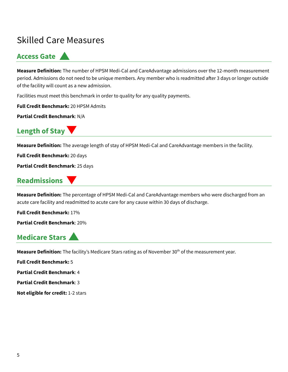# <span id="page-4-0"></span>Skilled Care Measures

### <span id="page-4-1"></span>**Access Gate**

**Measure Definition:** The number of HPSM Medi-Cal and CareAdvantage admissions over the 12-month measurement period. Admissions do not need to be unique members. Any member who is readmitted after 3 days or longer outside of the facility will count as a new admission.

Facilities must meet this benchmark in order to quality for any quality payments.

**Full Credit Benchmark:** 20 HPSM Admits

**Partial Credit Benchmark**: N/A

### <span id="page-4-2"></span>**Length of Stay**

**Measure Definition:** The average length of stay of HPSM Medi-Cal and CareAdvantage members in the facility.

**Full Credit Benchmark:** 20 days

**Partial Credit Benchmark**: 25 days

### <span id="page-4-3"></span>**Readmissions**

**Measure Definition:** The percentage of HPSM Medi-Cal and CareAdvantage members who were discharged from an acute care facility and readmitted to acute care for any cause within 30 days of discharge.

**Full Credit Benchmark:** 17%

**Partial Credit Benchmark**: 20%

### <span id="page-4-4"></span>**Medicare Stars**

Measure Definition: The facility's Medicare Stars rating as of November 30<sup>th</sup> of the measurement year.

**Full Credit Benchmark:** 5

**Partial Credit Benchmark**: 4

**Partial Credit Benchmark**: 3

**Not eligible for credit:** 1-2 stars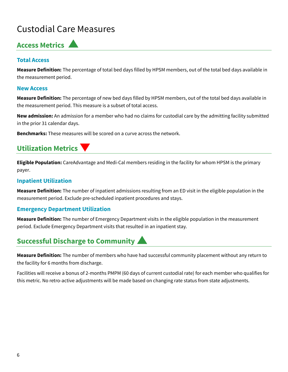# <span id="page-5-0"></span>Custodial Care Measures

### <span id="page-5-1"></span>**Access Metrics**

#### <span id="page-5-2"></span>**Total Access**

**Measure Definition:** The percentage of total bed days filled by HPSM members, out of the total bed days available in the measurement period.

#### <span id="page-5-3"></span>**New Access**

**Measure Definition:** The percentage of new bed days filled by HPSM members, out of the total bed days available in the measurement period. This measure is a subset of total access.

**New admission:** An admission for a member who had no claims for custodial care by the admitting facility submitted in the prior 31 calendar days.

**Benchmarks:** These measures will be scored on a curve across the network.

### <span id="page-5-4"></span>**Utilization Metrics**

**Eligible Population:** CareAdvantage and Medi-Cal members residing in the facility for whom HPSM is the primary payer.

#### <span id="page-5-5"></span>**Inpatient Utilization**

**Measure Definition:** The number of inpatient admissions resulting from an ED visit in the eligible population in the measurement period. Exclude pre-scheduled inpatient procedures and stays.

#### <span id="page-5-6"></span>**Emergency Department Utilization**

**Measure Definition:** The number of Emergency Department visits in the eligible population in the measurement period. Exclude Emergency Department visits that resulted in an inpatient stay.

### <span id="page-5-7"></span>**Successful Discharge to Community**

**Measure Definition:** The number of members who have had successful community placement without any return to the facility for 6 months from discharge.

Facilities will receive a bonus of 2-months PMPM (60 days of current custodial rate) for each member who qualifies for this metric. No retro-active adjustments will be made based on changing rate status from state adjustments.